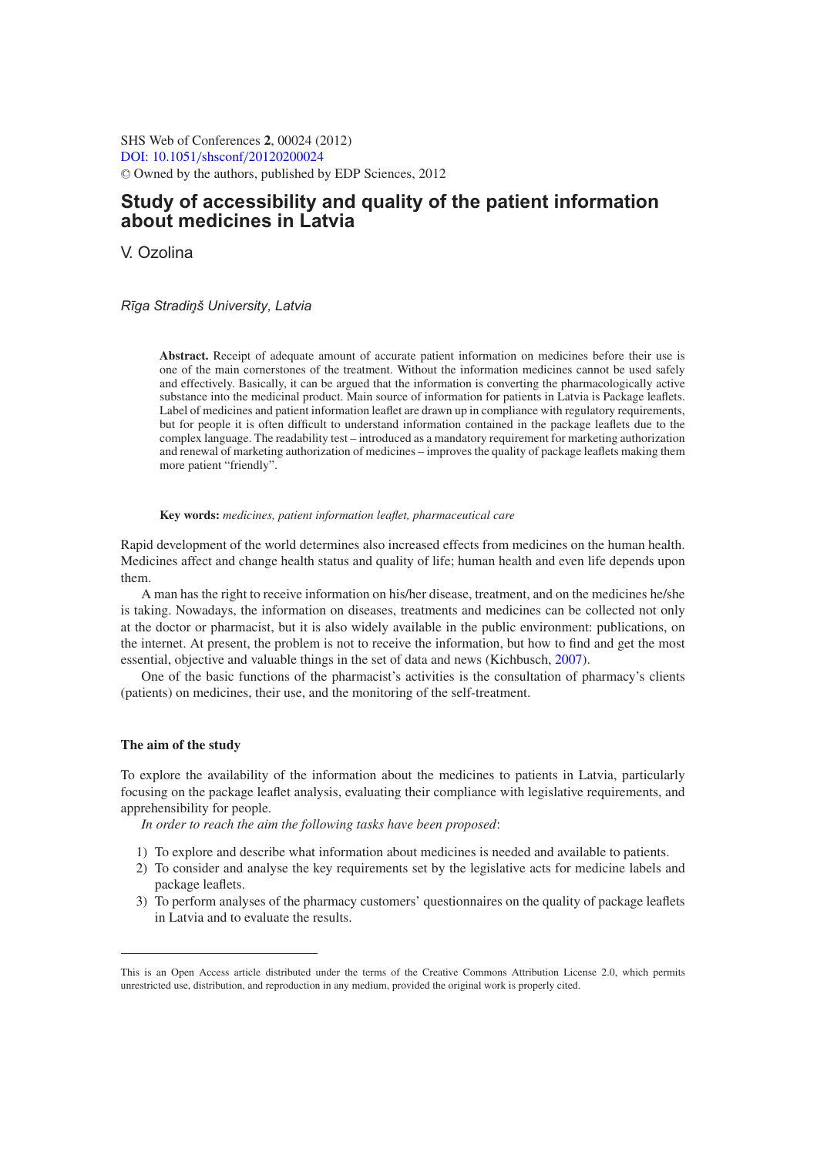SHS Web of Conferences **2**, 00024 (2012) [DOI: 10.1051](http://dx.doi.org/10.1051/shsconf/20120200024)/shsconf/20120200024 <sup>C</sup> Owned by the authors, published by EDP Sciences, 2012

# **Study of accessibility and quality of the patient information about medicines in Latvia**

V. Ozolina

# *R¯ıga Stradin¸ š University, Latvia*

**Abstract.** Receipt of adequate amount of accurate patient information on medicines before their use is one of the main cornerstones of the treatment. Without the information medicines cannot be used safely and effectively. Basically, it can be argued that the information is converting the pharmacologically active substance into the medicinal product. Main source of information for patients in Latvia is Package leaflets. Label of medicines and patient information leaflet are drawn up in compliance with regulatory requirements, but for people it is often difficult to understand information contained in the package leaflets due to the complex language. The readability test – introduced as a mandatory requirement for marketing authorization and renewal of marketing authorization of medicines – improves the quality of package leaflets making them more patient "friendly".

# **Key words:** *medicines, patient information leaflet, pharmaceutical care*

Rapid development of the world determines also increased effects from medicines on the human health. Medicines affect and change health status and quality of life; human health and even life depends upon them.

A man has the right to receive information on his/her disease, treatment, and on the medicines he/she is taking. Nowadays, the information on diseases, treatments and medicines can be collected not only at the doctor or pharmacist, but it is also widely available in the public environment: publications, on the internet. At present, the problem is not to receive the information, but how to find and get the most essential, objective and valuable things in the set of data and news (Kichbusch, [2007\)](#page-6-0).

One of the basic functions of the pharmacist's activities is the consultation of pharmacy's clients (patients) on medicines, their use, and the monitoring of the self-treatment.

# **The aim of the study**

To explore the availability of the information about the medicines to patients in Latvia, particularly focusing on the package leaflet analysis, evaluating their compliance with legislative requirements, and apprehensibility for people.

*In order to reach the aim the following tasks have been proposed*:

- 1) To explore and describe what information about medicines is needed and available to patients.
- 2) To consider and analyse the key requirements set by the legislative acts for medicine labels and package leaflets.
- 3) To perform analyses of the pharmacy customers' questionnaires on the quality of package leaflets in Latvia and to evaluate the results.

This is an Open Access article distributed under the terms of the Creative Commons Attribution License 2.0, which permits unrestricted use, distribution, and reproduction in any medium, provided the original work is properly cited.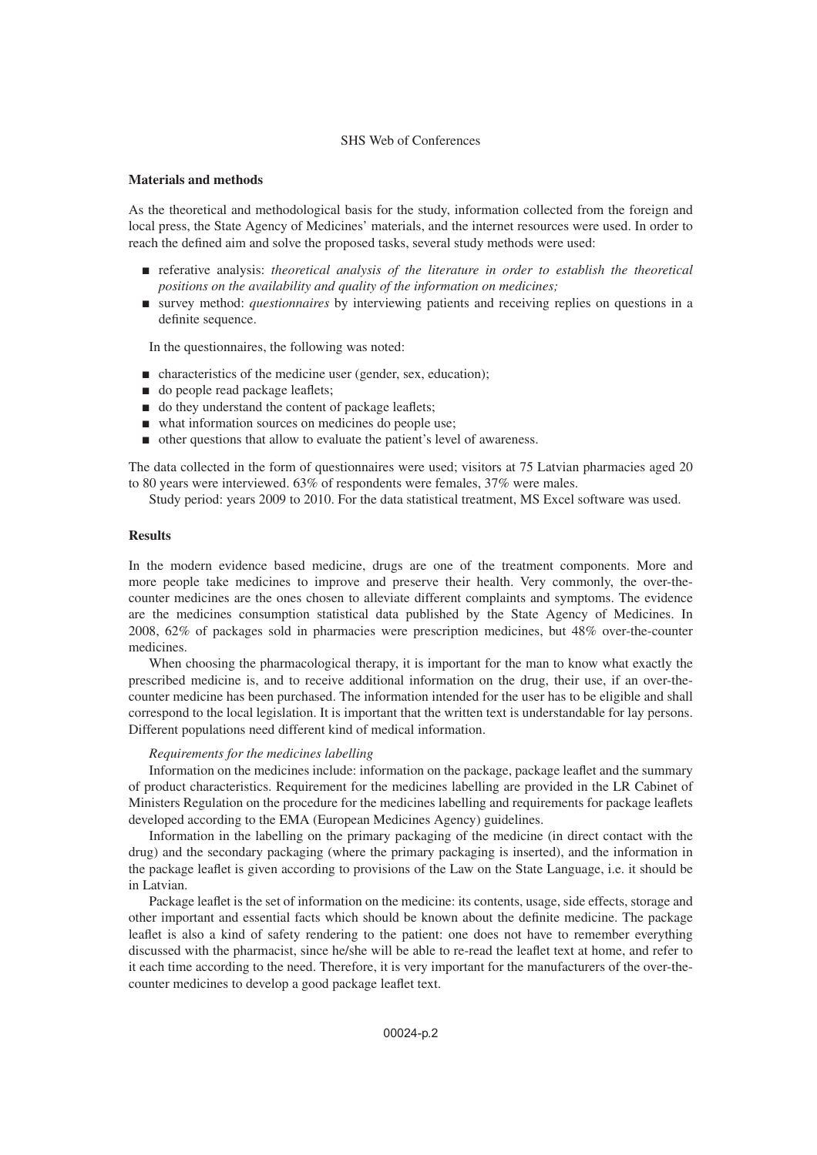# SHS Web of Conferences

### **Materials and methods**

As the theoretical and methodological basis for the study, information collected from the foreign and local press, the State Agency of Medicines' materials, and the internet resources were used. In order to reach the defined aim and solve the proposed tasks, several study methods were used:

- referative analysis: *theoretical analysis of the literature in order to establish the theoretical positions on the availability and quality of the information on medicines;*
- survey method: *questionnaires* by interviewing patients and receiving replies on questions in a definite sequence.

In the questionnaires, the following was noted:

- characteristics of the medicine user (gender, sex, education);
- do people read package leaflets;
- $\Box$  do they understand the content of package leaflets;
- what information sources on medicines do people use;
- other questions that allow to evaluate the patient's level of awareness.

The data collected in the form of questionnaires were used; visitors at 75 Latvian pharmacies aged 20 to 80 years were interviewed. 63% of respondents were females, 37% were males.

Study period: years 2009 to 2010. For the data statistical treatment, MS Excel software was used.

# **Results**

In the modern evidence based medicine, drugs are one of the treatment components. More and more people take medicines to improve and preserve their health. Very commonly, the over-thecounter medicines are the ones chosen to alleviate different complaints and symptoms. The evidence are the medicines consumption statistical data published by the State Agency of Medicines. In 2008, 62% of packages sold in pharmacies were prescription medicines, but 48% over-the-counter medicines.

When choosing the pharmacological therapy, it is important for the man to know what exactly the prescribed medicine is, and to receive additional information on the drug, their use, if an over-thecounter medicine has been purchased. The information intended for the user has to be eligible and shall correspond to the local legislation. It is important that the written text is understandable for lay persons. Different populations need different kind of medical information.

#### *Requirements for the medicines labelling*

Information on the medicines include: information on the package, package leaflet and the summary of product characteristics. Requirement for the medicines labelling are provided in the LR Cabinet of Ministers Regulation on the procedure for the medicines labelling and requirements for package leaflets developed according to the EMA (European Medicines Agency) guidelines.

Information in the labelling on the primary packaging of the medicine (in direct contact with the drug) and the secondary packaging (where the primary packaging is inserted), and the information in the package leaflet is given according to provisions of the Law on the State Language, i.e. it should be in Latvian.

Package leaflet is the set of information on the medicine: its contents, usage, side effects, storage and other important and essential facts which should be known about the definite medicine. The package leaflet is also a kind of safety rendering to the patient: one does not have to remember everything discussed with the pharmacist, since he/she will be able to re-read the leaflet text at home, and refer to it each time according to the need. Therefore, it is very important for the manufacturers of the over-thecounter medicines to develop a good package leaflet text.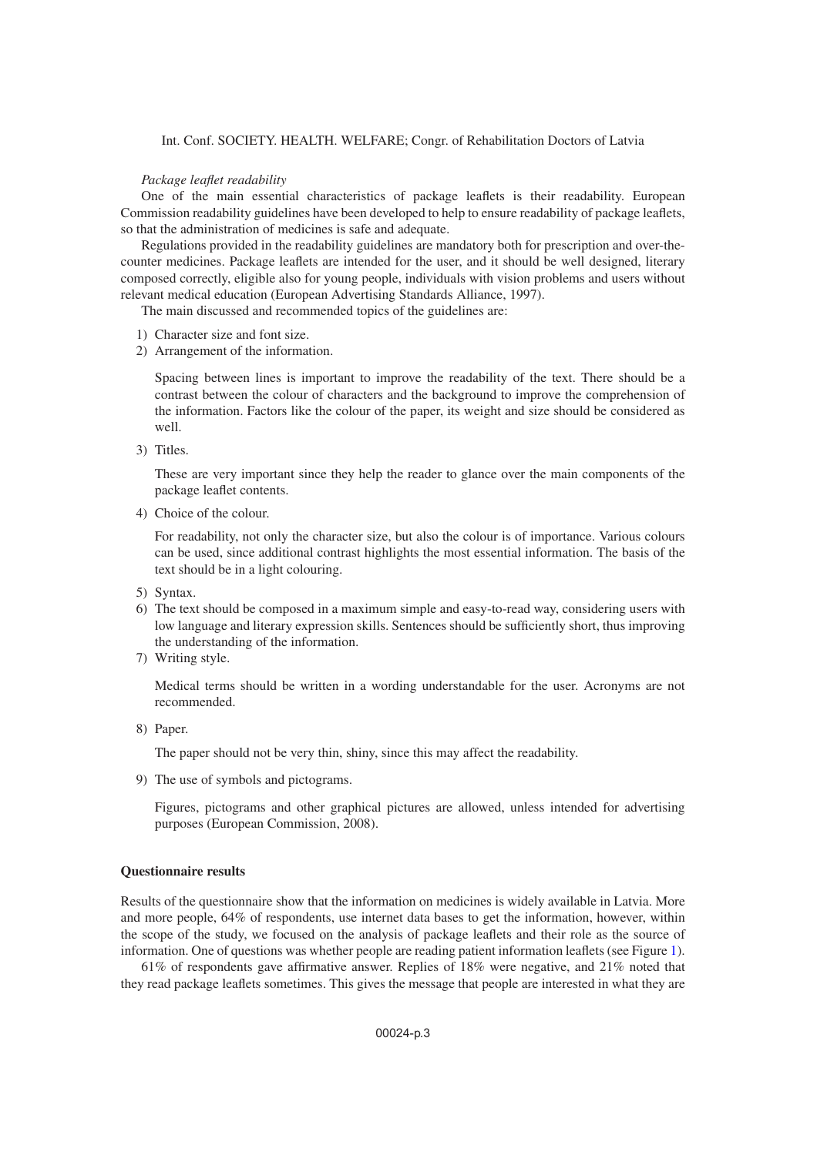# Int. Conf. SOCIETY. HEALTH. WELFARE; Congr. of Rehabilitation Doctors of Latvia

#### *Package leaflet readability*

One of the main essential characteristics of package leaflets is their readability. European Commission readability guidelines have been developed to help to ensure readability of package leaflets, so that the administration of medicines is safe and adequate.

Regulations provided in the readability guidelines are mandatory both for prescription and over-thecounter medicines. Package leaflets are intended for the user, and it should be well designed, literary composed correctly, eligible also for young people, individuals with vision problems and users without relevant medical education (European Advertising Standards Alliance, 1997).

The main discussed and recommended topics of the guidelines are:

- 1) Character size and font size.
- 2) Arrangement of the information.

Spacing between lines is important to improve the readability of the text. There should be a contrast between the colour of characters and the background to improve the comprehension of the information. Factors like the colour of the paper, its weight and size should be considered as well.

3) Titles.

These are very important since they help the reader to glance over the main components of the package leaflet contents.

4) Choice of the colour.

For readability, not only the character size, but also the colour is of importance. Various colours can be used, since additional contrast highlights the most essential information. The basis of the text should be in a light colouring.

- 5) Syntax.
- 6) The text should be composed in a maximum simple and easy-to-read way, considering users with low language and literary expression skills. Sentences should be sufficiently short, thus improving the understanding of the information.
- 7) Writing style.

Medical terms should be written in a wording understandable for the user. Acronyms are not recommended.

8) Paper.

The paper should not be very thin, shiny, since this may affect the readability.

9) The use of symbols and pictograms.

Figures, pictograms and other graphical pictures are allowed, unless intended for advertising purposes (European Commission, 2008).

#### **Questionnaire results**

Results of the questionnaire show that the information on medicines is widely available in Latvia. More and more people, 64% of respondents, use internet data bases to get the information, however, within the scope of the study, we focused on the analysis of package leaflets and their role as the source of information. One of questions was whether people are reading patient information leaflets (see Figure [1\)](#page-3-0).

61% of respondents gave affirmative answer. Replies of 18% were negative, and 21% noted that they read package leaflets sometimes. This gives the message that people are interested in what they are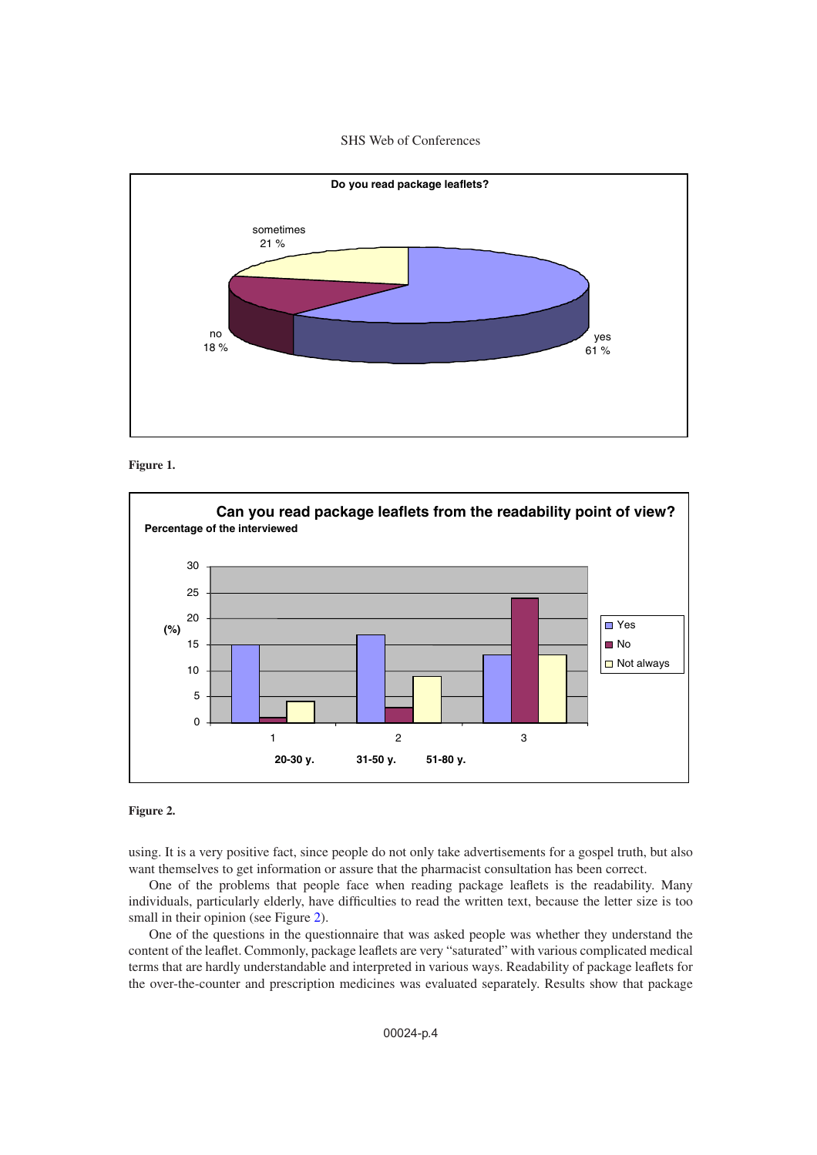SHS Web of Conferences

<span id="page-3-0"></span>



<span id="page-3-1"></span>

### **Figure 2.**

using. It is a very positive fact, since people do not only take advertisements for a gospel truth, but also want themselves to get information or assure that the pharmacist consultation has been correct.

One of the problems that people face when reading package leaflets is the readability. Many individuals, particularly elderly, have difficulties to read the written text, because the letter size is too small in their opinion (see Figure [2\)](#page-3-1).

One of the questions in the questionnaire that was asked people was whether they understand the content of the leaflet. Commonly, package leaflets are very "saturated" with various complicated medical terms that are hardly understandable and interpreted in various ways. Readability of package leaflets for the over-the-counter and prescription medicines was evaluated separately. Results show that package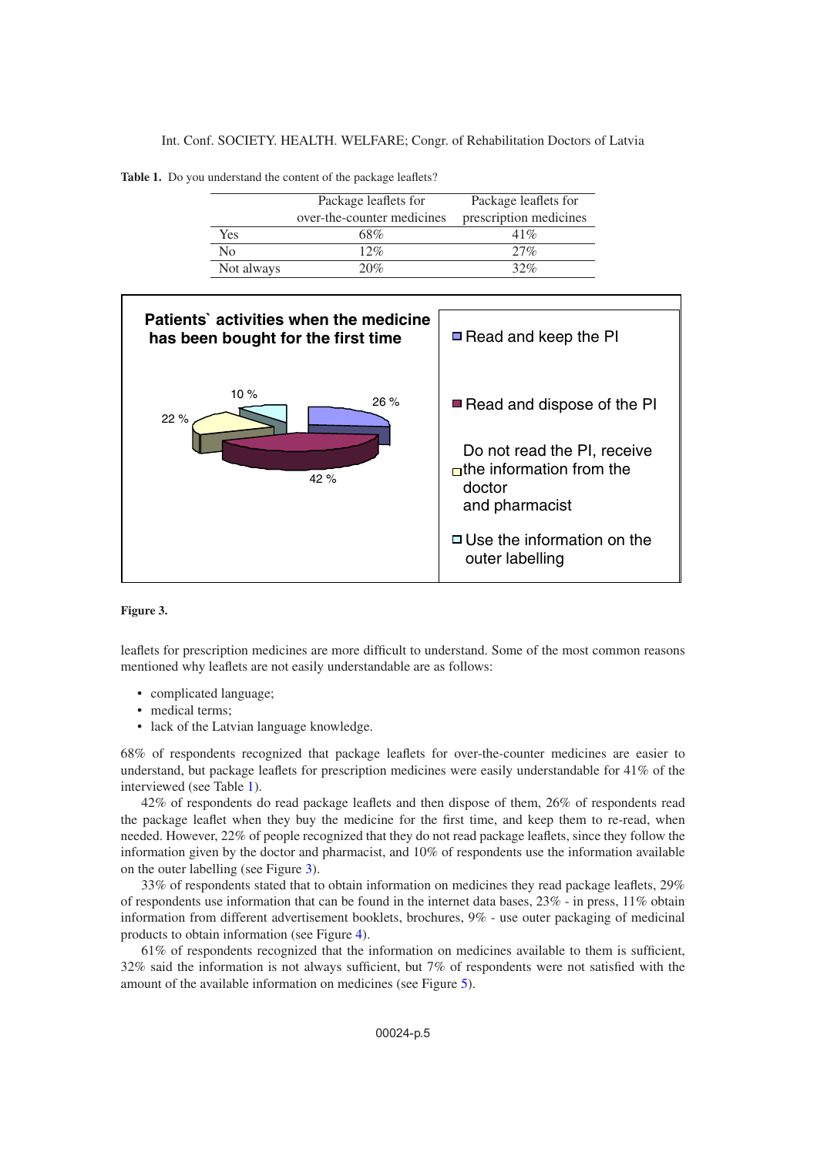Int. Conf. SOCIETY. HEALTH. WELFARE; Congr. of Rehabilitation Doctors of Latvia

<span id="page-4-0"></span>**Table 1.** Do you understand the content of the package leaflets?

|            | Package leaflets for       | Package leaflets for   |
|------------|----------------------------|------------------------|
|            | over-the-counter medicines | prescription medicines |
| Yes        | 68%                        | 41%                    |
| No         | 12%                        | 27%                    |
| Not always | 20%                        | 32%                    |

<span id="page-4-1"></span>

#### **Figure 3.**

leaflets for prescription medicines are more difficult to understand. Some of the most common reasons mentioned why leaflets are not easily understandable are as follows:

- complicated language;
- medical terms;
- lack of the Latvian language knowledge.

68% of respondents recognized that package leaflets for over-the-counter medicines are easier to understand, but package leaflets for prescription medicines were easily understandable for 41% of the interviewed (see Table [1\)](#page-4-0).

42% of respondents do read package leaflets and then dispose of them, 26% of respondents read the package leaflet when they buy the medicine for the first time, and keep them to re-read, when needed. However, 22% of people recognized that they do not read package leaflets, since they follow the information given by the doctor and pharmacist, and 10% of respondents use the information available on the outer labelling (see Figure [3\)](#page-4-1).

33% of respondents stated that to obtain information on medicines they read package leaflets, 29% of respondents use information that can be found in the internet data bases, 23% - in press, 11% obtain information from different advertisement booklets, brochures, 9% - use outer packaging of medicinal products to obtain information (see Figure [4\)](#page-5-0).

61% of respondents recognized that the information on medicines available to them is sufficient, 32% said the information is not always sufficient, but 7% of respondents were not satisfied with the amount of the available information on medicines (see Figure [5\)](#page-5-1).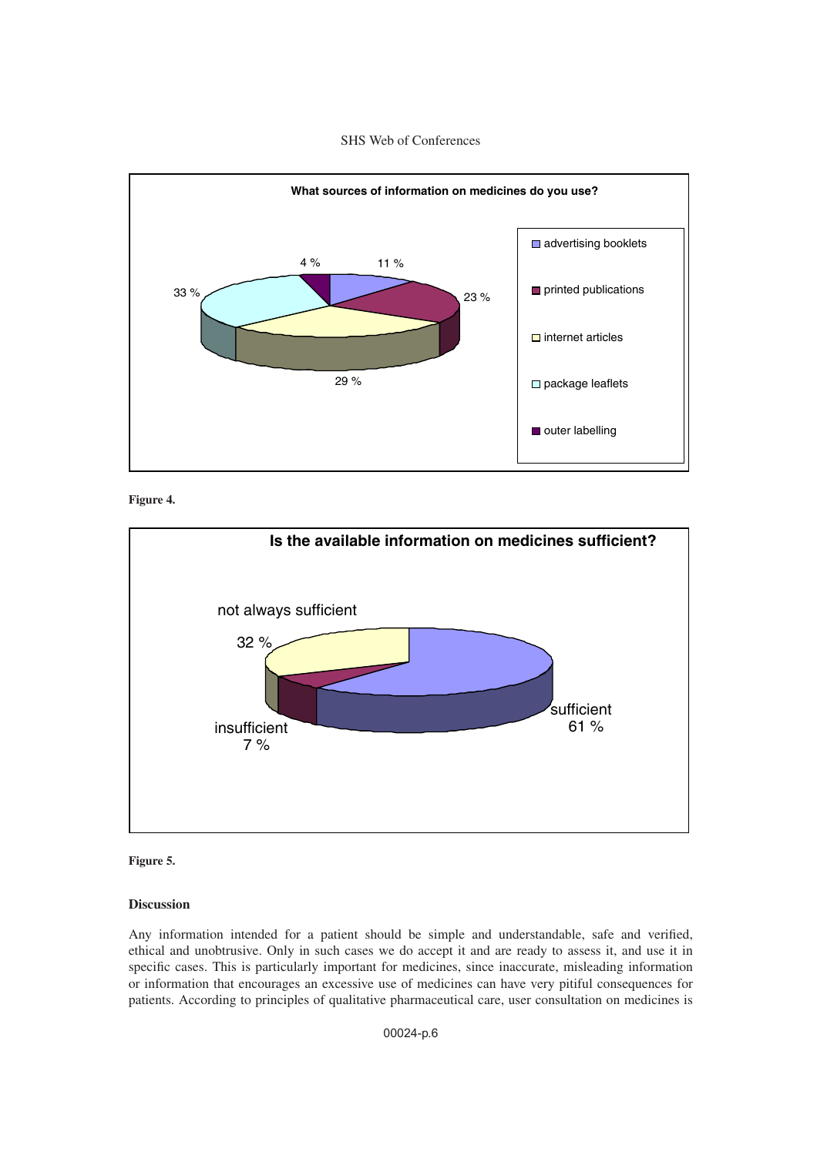# SHS Web of Conferences

<span id="page-5-0"></span>

**Figure 4.**

<span id="page-5-1"></span>

**Figure 5.**

### **Discussion**

Any information intended for a patient should be simple and understandable, safe and verified, ethical and unobtrusive. Only in such cases we do accept it and are ready to assess it, and use it in specific cases. This is particularly important for medicines, since inaccurate, misleading information or information that encourages an excessive use of medicines can have very pitiful consequences for patients. According to principles of qualitative pharmaceutical care, user consultation on medicines is